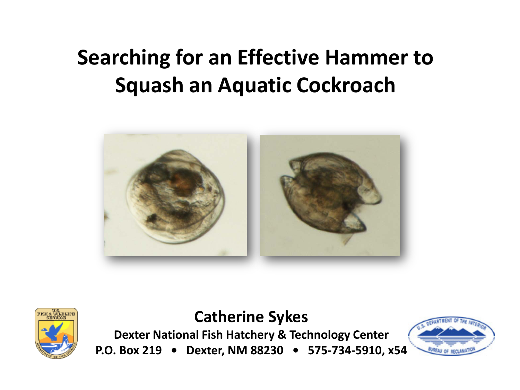# **Searching for an Effective Hammer to Squash an Aquatic Cockroach**





**Catherine Sykes Dexter National Fish Hatchery & Technology Center**

**P.O. Box 219 • Dexter, NM 88230 • 575-734-5910, x54**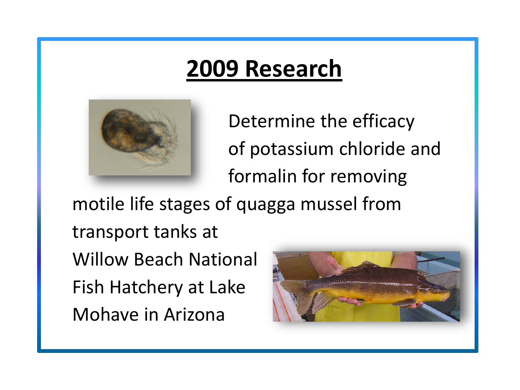# **2009 Research**



Determine the efficacy of potassium chloride and formalin for removing

motile life stages of quagga mussel from transport tanks at Willow Beach National Fish Hatchery at Lake Mohave in Arizona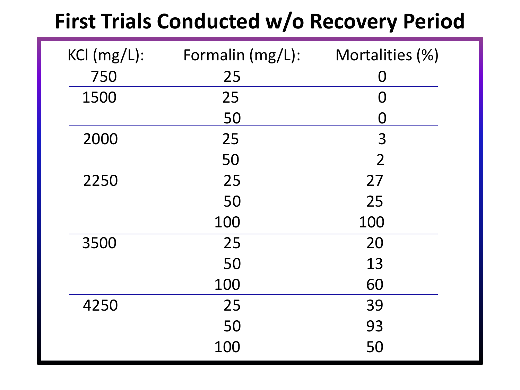## **First Trials Conducted w/o Recovery Period**

| $KCl$ (mg/L): | Formalin (mg/L): | Mortalities (%) |
|---------------|------------------|-----------------|
| 750           | 25               | O               |
| 1500          | 25               | O               |
|               | 50               | O               |
| 2000          | 25               | 3               |
|               | 50               | $\overline{2}$  |
| 2250          | 25               | 27              |
|               | 50               | 25              |
|               | 100              | 100             |
| 3500          | 25               | 20              |
|               | 50               | 13              |
|               | 100              | 60              |
| 4250          | 25               | 39              |
|               | 50               | 93              |
|               | 100              | 50              |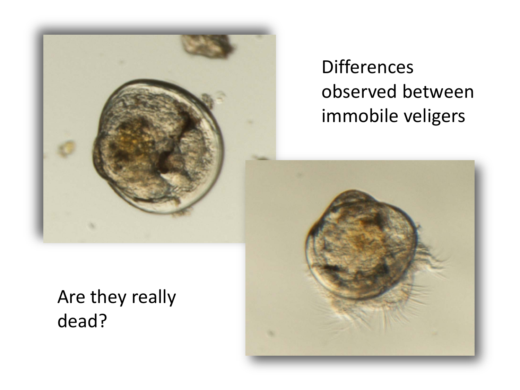

### **Differences** observed between immobile veligers

Are they really dead?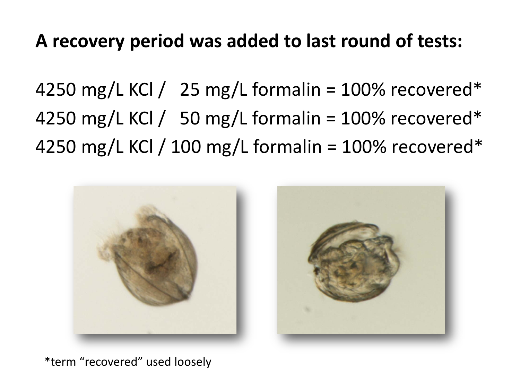#### **A recovery period was added to last round of tests:**

4250 mg/L KCl / 25 mg/L formalin =  $100\%$  recovered\* 4250 mg/L KCl / 50 mg/L formalin =  $100\%$  recovered\* 4250 mg/L KCl / 100 mg/L formalin = 100% recovered\*



\*term "recovered" used loosely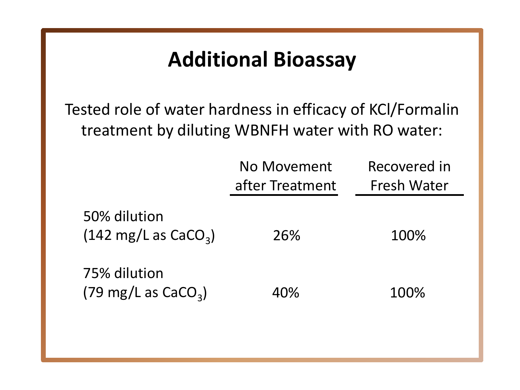#### **Additional Bioassay**

Tested role of water hardness in efficacy of KCl/Formalin treatment by diluting WBNFH water with RO water:

|                                                        | No Movement<br>after Treatment | Recovered in<br>Fresh Water |
|--------------------------------------------------------|--------------------------------|-----------------------------|
| 50% dilution<br>$(142 \text{ mg/L as } \text{CaCO}_3)$ | 26%                            | 100%                        |
| 75% dilution<br>$(79 \text{ mg/L as } \text{CaCO}_3)$  | 40%                            | 100%                        |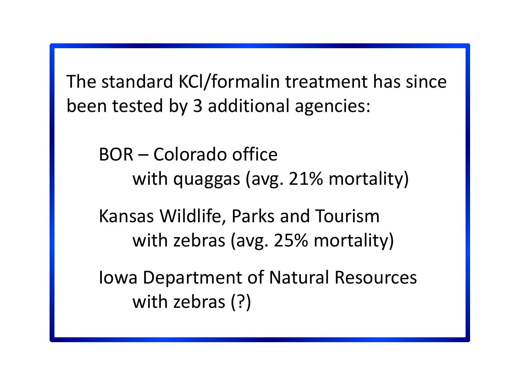The standard KCl/formalin treatment has since been tested by 3 additional agencies:

 BOR – Colorado office with quaggas (avg. 21% mortality)

 Kansas Wildlife, Parks and Tourism with zebras (avg. 25% mortality)

 Iowa Department of Natural Resources with zebras (?)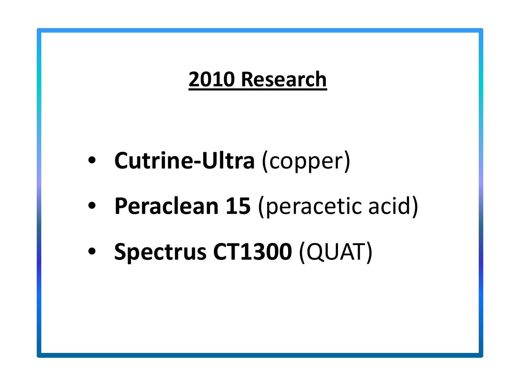## **2010 Research**

- • **Cutrine-Ultra** (copper)
- • **Peraclean 15** (peracetic acid)
- • **Spectrus CT1300** (QUAT)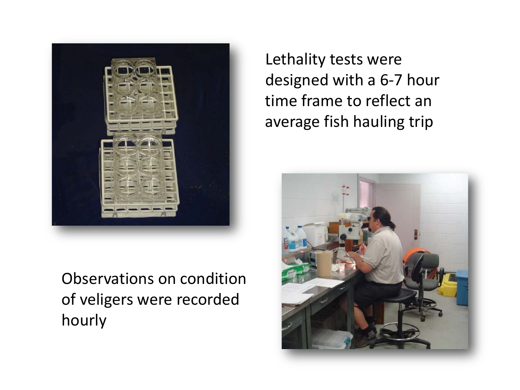

Observations on condition of veligers were recorded hourly

Lethality tests were designed with a 6-7 hour time frame to reflect an average fish hauling trip

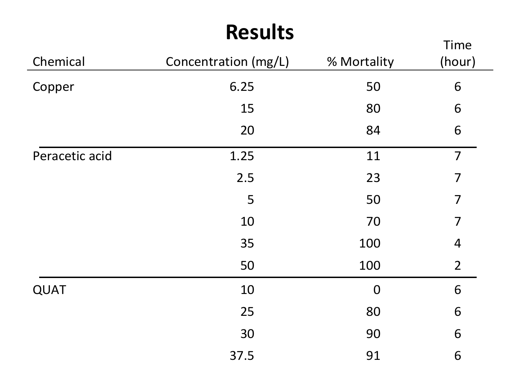#### **Results**

|                |                      |             | Time           |
|----------------|----------------------|-------------|----------------|
| Chemical       | Concentration (mg/L) | % Mortality | (hour)         |
| Copper         | 6.25                 | 50          | 6              |
|                | 15                   | 80          | 6              |
|                | 20                   | 84          | 6              |
| Peracetic acid | 1.25                 | 11          | $\overline{7}$ |
|                | 2.5                  | 23          | $\overline{7}$ |
|                | 5                    | 50          | 7              |
|                | 10                   | 70          | 7              |
|                | 35                   | 100         | $\overline{4}$ |
|                | 50                   | 100         | $\overline{2}$ |
| <b>QUAT</b>    | 10                   | $\mathbf 0$ | 6              |
|                | 25                   | 80          | 6              |
|                | 30                   | 90          | 6              |
|                | 37.5                 | 91          | 6              |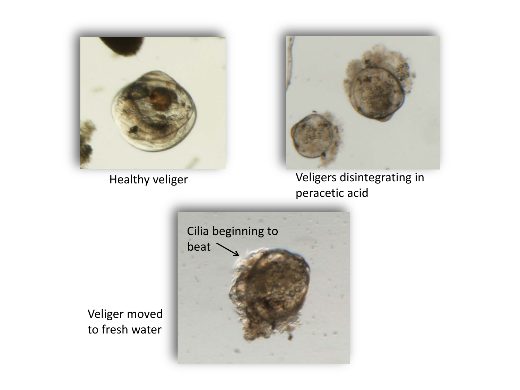



Healthy veliger **Veligers** disintegrating in peracetic acid



Veliger moved to fresh water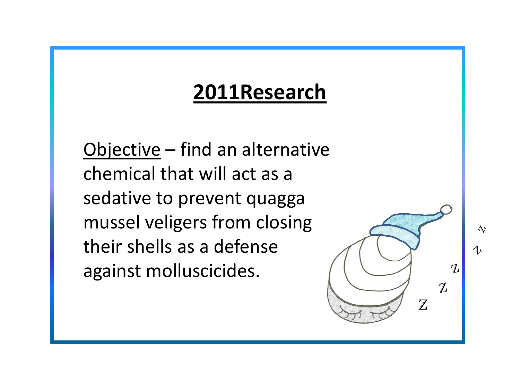## **2011Research**

Objective – find an alternative chemical that will act as a sedative to prevent quagga mussel veligers from closing their shells as a defense against molluscicides.

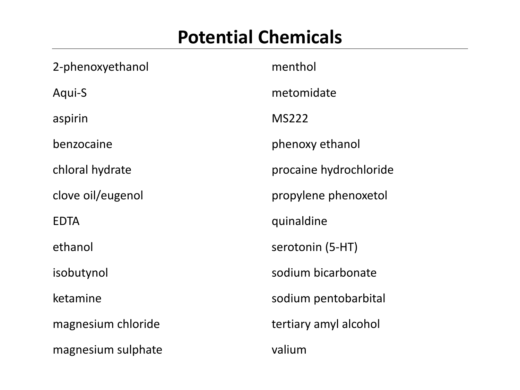#### **Potential Chemicals**

| 2-phenoxyethanol   | menthol                |
|--------------------|------------------------|
| Aqui-S             | metomidate             |
| aspirin            | <b>MS222</b>           |
| benzocaine         | phenoxy ethanol        |
| chloral hydrate    | procaine hydrochloride |
| clove oil/eugenol  | propylene phenoxetol   |
| <b>EDTA</b>        | quinaldine             |
| ethanol            | serotonin (5-HT)       |
| isobutynol         | sodium bicarbonate     |
| ketamine           | sodium pentobarbital   |
| magnesium chloride | tertiary amyl alcohol  |
| magnesium sulphate | valium                 |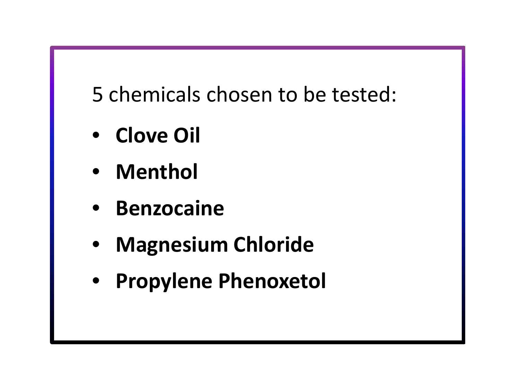5 chemicals chosen to be tested:

- • **Clove Oil**
- • **Menthol**
- • **Benzocaine**
- • **Magnesium Chloride**
- • **Propylene Phenoxetol**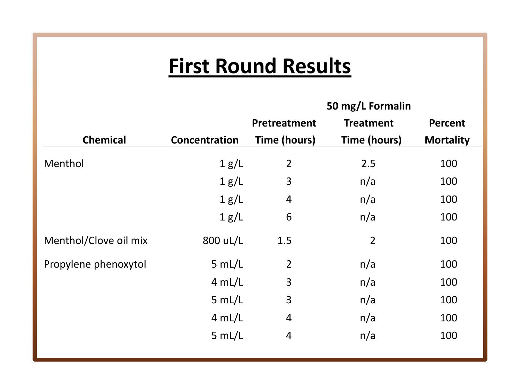## **First Round Results**

|                       |               | 50 mg/L Formalin    |                     |                  |
|-----------------------|---------------|---------------------|---------------------|------------------|
|                       |               | <b>Pretreatment</b> | <b>Treatment</b>    | <b>Percent</b>   |
| <b>Chemical</b>       | Concentration | <b>Time (hours)</b> | <b>Time (hours)</b> | <b>Mortality</b> |
| Menthol               | 1 g/L         | $\overline{2}$      | 2.5                 | 100              |
|                       | 1 g/L         | 3                   | n/a                 | 100              |
|                       | 1 g/L         | 4                   | n/a                 | 100              |
|                       | 1 g/L         | 6                   | n/a                 | 100              |
| Menthol/Clove oil mix | 800 uL/L      | 1.5                 | $\overline{2}$      | 100              |
| Propylene phenoxytol  | 5 mL/L        | $\overline{2}$      | n/a                 | 100              |
|                       | 4 mL/L        | 3                   | n/a                 | 100              |
|                       | 5 mL/L        | 3                   | n/a                 | 100              |
|                       | 4 mL/L        | $\overline{4}$      | n/a                 | 100              |
|                       | 5 mL/L        | 4                   | n/a                 | 100              |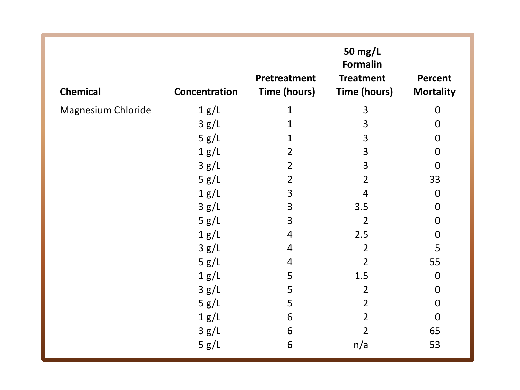| <b>Chemical</b>           | Concentration | Pretreatment<br><b>Time (hours)</b> | 50 mg/L<br><b>Formalin</b><br><b>Treatment</b><br><b>Time (hours)</b> | <b>Percent</b><br><b>Mortality</b> |
|---------------------------|---------------|-------------------------------------|-----------------------------------------------------------------------|------------------------------------|
| <b>Magnesium Chloride</b> | 1 g/L         | $\mathbf{1}$                        | 3                                                                     | $\overline{0}$                     |
|                           | 3 g/L         | $\mathbf{1}$                        | 3                                                                     | $\boldsymbol{0}$                   |
|                           | 5 g/L         | $\mathbf 1$                         | 3                                                                     | $\mathbf 0$                        |
|                           | 1 g/L         | $\overline{2}$                      | 3                                                                     | $\boldsymbol{0}$                   |
|                           | 3 g/L         | $\overline{2}$                      | 3                                                                     | $\overline{0}$                     |
|                           | 5 g/L         | $\overline{2}$                      | $\overline{2}$                                                        | 33                                 |
|                           | 1 g/L         | $\mathbf{3}$                        | 4                                                                     | $\boldsymbol{0}$                   |
|                           | 3 g/L         | 3                                   | 3.5                                                                   | $\boldsymbol{0}$                   |
|                           | 5 g/L         | 3                                   | $\overline{2}$                                                        | $\mathbf 0$                        |
|                           | 1 g/L         | $\overline{4}$                      | 2.5                                                                   | $\mathbf 0$                        |
|                           | 3 g/L         | $\overline{4}$                      | $\overline{2}$                                                        | 5                                  |
|                           | 5 g/L         | 4                                   | $\overline{2}$                                                        | 55                                 |
|                           | 1 g/L         | 5                                   | 1.5                                                                   | $\mathbf 0$                        |
|                           | 3 g/L         | 5                                   | $\overline{2}$                                                        | $\mathbf 0$                        |
|                           | 5 g/L         | 5                                   | $\overline{2}$                                                        | $\boldsymbol{0}$                   |
|                           | 1 g/L         | 6                                   | $\overline{2}$                                                        | $\overline{0}$                     |
|                           | 3 g/L         | 6                                   | $\overline{2}$                                                        | 65                                 |
|                           | 5 g/L         | 6                                   | n/a                                                                   | 53                                 |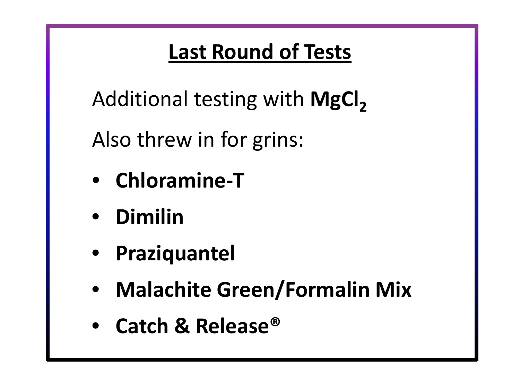## **Last Round of Tests**

Additional testing with **MgCl<sup>2</sup>**

Also threw in for grins:

- **Chloramine-T**
- • **Dimilin**
- • **Praziquantel**
- • **Malachite Green/Formalin Mix**
- • **Catch & Release®**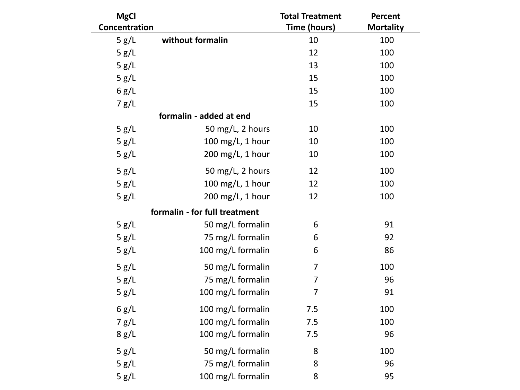| <b>MgCl</b>   |                               | <b>Total Treatment</b> | <b>Percent</b>   |
|---------------|-------------------------------|------------------------|------------------|
| Concentration |                               | <b>Time (hours)</b>    | <b>Mortality</b> |
| 5 g/L         | without formalin              | 10                     | 100              |
| 5 g/L         |                               | 12                     | 100              |
| 5 g/L         |                               | 13                     | 100              |
| 5 g/L         |                               | 15                     | 100              |
| 6 g/L         |                               | 15                     | 100              |
| 7 g/L         |                               | 15                     | 100              |
|               | formalin - added at end       |                        |                  |
| 5 g/L         | 50 mg/L, 2 hours              | 10                     | 100              |
| 5 g/L         | 100 mg/L, 1 hour              | 10                     | 100              |
| 5 g/L         | 200 mg/L, 1 hour              | 10                     | 100              |
| 5 g/L         | 50 mg/L, 2 hours              | 12                     | 100              |
| 5 g/L         | 100 mg/L, 1 hour              | 12                     | 100              |
| 5 g/L         | 200 mg/L, 1 hour              | 12                     | 100              |
|               | formalin - for full treatment |                        |                  |
| 5 g/L         | 50 mg/L formalin              | 6                      | 91               |
| 5 g/L         | 75 mg/L formalin              | 6                      | 92               |
| 5 g/L         | 100 mg/L formalin             | 6                      | 86               |
| 5 g/L         | 50 mg/L formalin              | 7                      | 100              |
| 5 g/L         | 75 mg/L formalin              | 7                      | 96               |
| 5 g/L         | 100 mg/L formalin             | 7                      | 91               |
| 6 g/L         | 100 mg/L formalin             | 7.5                    | 100              |
| 7 g/L         | 100 mg/L formalin             | 7.5                    | 100              |
| 8 g/L         | 100 mg/L formalin             | 7.5                    | 96               |
| 5 g/L         | 50 mg/L formalin              | 8                      | 100              |
| 5 g/L         | 75 mg/L formalin              | 8                      | 96               |
| 5 g/L         | 100 mg/L formalin             | 8                      | 95               |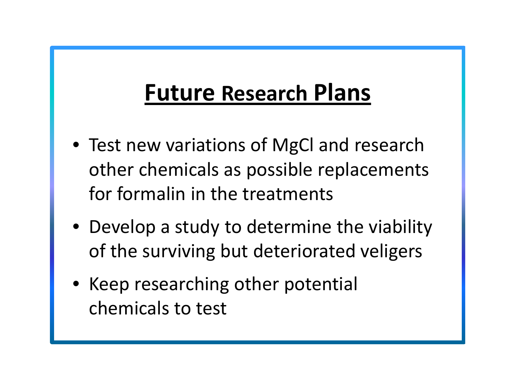# **Future Research Plans**

- Test new variations of MgCl and research other chemicals as possible replacements for formalin in the treatments
- Develop a study to determine the viability of the surviving but deteriorated veligers
- Keep researching other potential chemicals to test